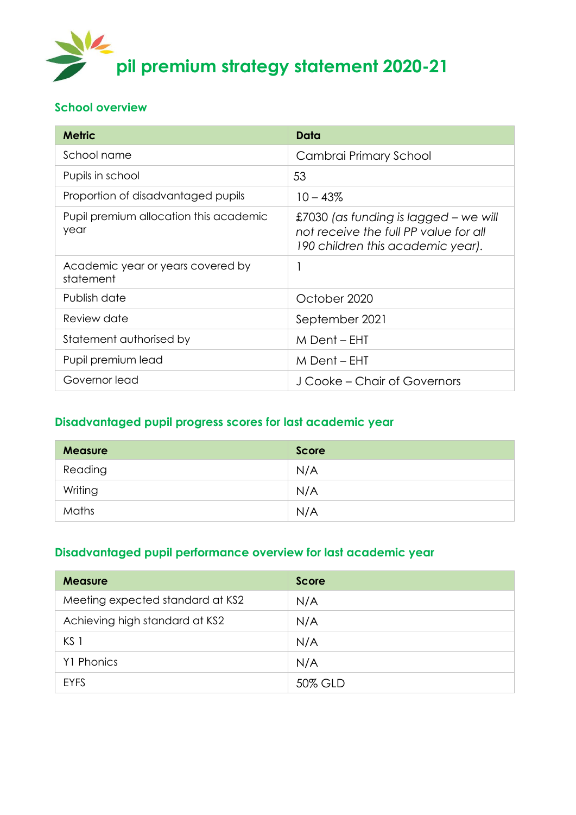

#### **School overview**

| <b>Metric</b>                                  | Data                                                                                                                |
|------------------------------------------------|---------------------------------------------------------------------------------------------------------------------|
| School name                                    | Cambrai Primary School                                                                                              |
| Pupils in school                               | 53                                                                                                                  |
| Proportion of disadvantaged pupils             | $10 - 43%$                                                                                                          |
| Pupil premium allocation this academic<br>year | £7030 (as funding is lagged – we will<br>not receive the full PP value for all<br>190 children this academic year). |
| Academic year or years covered by<br>statement |                                                                                                                     |
| Publish date                                   | October 2020                                                                                                        |
| Review date                                    | September 2021                                                                                                      |
| Statement authorised by                        | M Dent – EHT                                                                                                        |
| Pupil premium lead                             | M Dent – EHT                                                                                                        |
| Governor lead                                  | J Cooke – Chair of Governors                                                                                        |

### **Disadvantaged pupil progress scores for last academic year**

| <b>Measure</b> | <b>Score</b> |
|----------------|--------------|
| Reading        | N/A          |
| Writing        | N/A          |
| Maths          | N/A          |

### **Disadvantaged pupil performance overview for last academic year**

| <b>Measure</b>                   | Score   |
|----------------------------------|---------|
| Meeting expected standard at KS2 | N/A     |
| Achieving high standard at KS2   | N/A     |
| KS <sub>1</sub>                  | N/A     |
| Y1 Phonics                       | N/A     |
| <b>EYFS</b>                      | 50% GLD |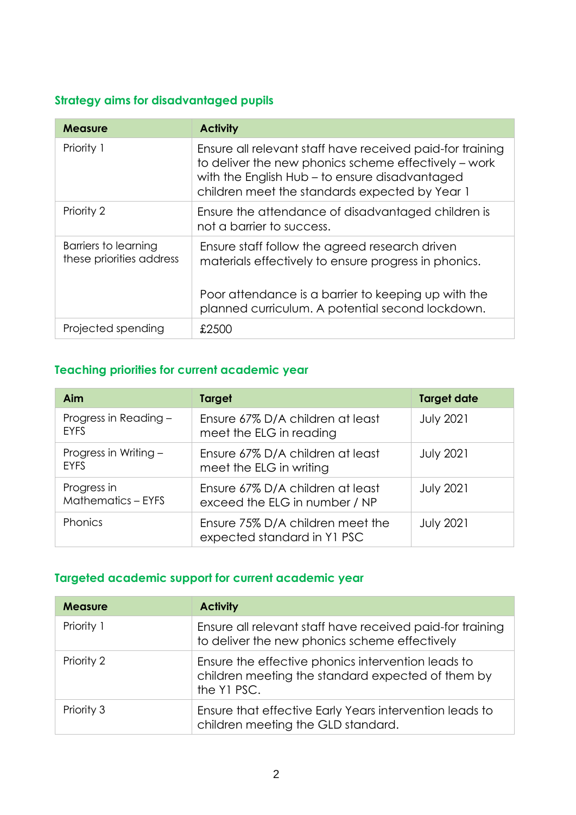### **Strategy aims for disadvantaged pupils**

| <b>Measure</b>                                   | <b>Activity</b>                                                                                                                                                                                                       |
|--------------------------------------------------|-----------------------------------------------------------------------------------------------------------------------------------------------------------------------------------------------------------------------|
| Priority 1                                       | Ensure all relevant staff have received paid-for training<br>to deliver the new phonics scheme effectively – work<br>with the English Hub - to ensure disadvantaged<br>children meet the standards expected by Year 1 |
| Priority 2                                       | Ensure the attendance of disadvantaged children is<br>not a barrier to success.                                                                                                                                       |
| Barriers to learning<br>these priorities address | Ensure staff follow the agreed research driven<br>materials effectively to ensure progress in phonics.<br>Poor attendance is a barrier to keeping up with the<br>planned curriculum. A potential second lockdown.     |
| Projected spending                               | £2500                                                                                                                                                                                                                 |

## **Teaching priorities for current academic year**

| Aim                                      | Target                                                            | <b>Target date</b> |
|------------------------------------------|-------------------------------------------------------------------|--------------------|
| Progress in Reading -<br><b>EYFS</b>     | Ensure 67% D/A children at least<br>meet the ELG in reading       | <b>July 2021</b>   |
| Progress in Writing -<br><b>EYFS</b>     | Ensure 67% D/A children at least<br>meet the ELG in writing       | <b>July 2021</b>   |
| Progress in<br><b>Mathematics - EYFS</b> | Ensure 67% D/A children at least<br>exceed the ELG in number / NP | <b>July 2021</b>   |
| Phonics                                  | Ensure 75% D/A children meet the<br>expected standard in Y1 PSC   | <b>July 2021</b>   |

### **Targeted academic support for current academic year**

| <b>Measure</b> | <b>Activity</b>                                                                                                        |
|----------------|------------------------------------------------------------------------------------------------------------------------|
| Priority 1     | Ensure all relevant staff have received paid-for training<br>to deliver the new phonics scheme effectively             |
| Priority 2     | Ensure the effective phonics intervention leads to<br>children meeting the standard expected of them by<br>the Y1 PSC. |
| Priority 3     | Ensure that effective Early Years intervention leads to<br>children meeting the GLD standard.                          |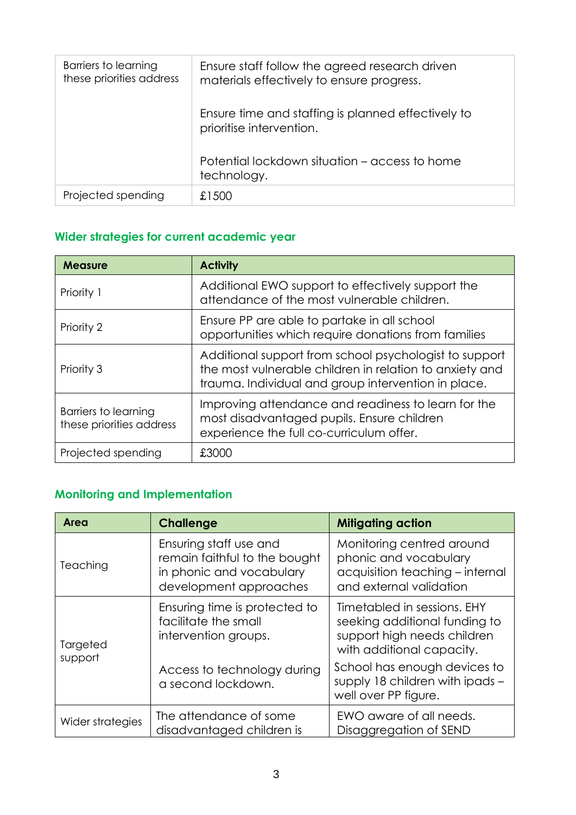| Barriers to learning<br>these priorities address | Ensure staff follow the agreed research driven<br>materials effectively to ensure progress. |
|--------------------------------------------------|---------------------------------------------------------------------------------------------|
|                                                  | Ensure time and staffing is planned effectively to<br>prioritise intervention.              |
|                                                  | Potential lockdown situation – access to home<br>technology.                                |
| Projected spending                               | £1500                                                                                       |

## **Wider strategies for current academic year**

| <b>Measure</b>                                   | <b>Activity</b>                                                                                                                                                          |
|--------------------------------------------------|--------------------------------------------------------------------------------------------------------------------------------------------------------------------------|
| Priority 1                                       | Additional EWO support to effectively support the<br>attendance of the most vulnerable children.                                                                         |
| Priority 2                                       | Ensure PP are able to partake in all school<br>opportunities which require donations from families                                                                       |
| Priority 3                                       | Additional support from school psychologist to support<br>the most vulnerable children in relation to anxiety and<br>trauma. Individual and group intervention in place. |
| Barriers to learning<br>these priorities address | Improving attendance and readiness to learn for the<br>most disadvantaged pupils. Ensure children<br>experience the full co-curriculum offer.                            |
| Projected spending                               | £3000                                                                                                                                                                    |

# **Monitoring and Implementation**

| Area                | <b>Challenge</b>                                                                                              | <b>Mitigating action</b>                                                                                                 |
|---------------------|---------------------------------------------------------------------------------------------------------------|--------------------------------------------------------------------------------------------------------------------------|
| Teaching            | Ensuring staff use and<br>remain faithful to the bought<br>in phonic and vocabulary<br>development approaches | Monitoring centred around<br>phonic and vocabulary<br>acquisition teaching - internal<br>and external validation         |
| Targeted<br>support | Ensuring time is protected to<br>facilitate the small<br>intervention groups.                                 | Timetabled in sessions. EHY<br>seeking additional funding to<br>support high needs children<br>with additional capacity. |
|                     | Access to technology during<br>a second lockdown.                                                             | School has enough devices to<br>supply 18 children with ipads -<br>well over PP figure.                                  |
| Wider strategies    | The attendance of some<br>disadvantaged children is                                                           | EWO aware of all needs.<br>Disaggregation of SEND                                                                        |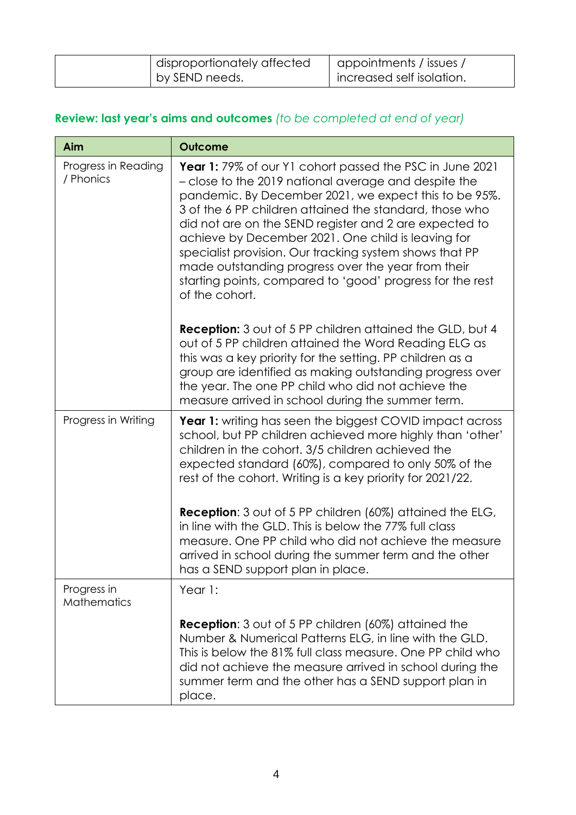| disproportionately affected | I appointments / issues / |
|-----------------------------|---------------------------|
| by SEND needs.              | increased self isolation. |

# **Review: last year's aims and outcomes** *(to be completed at end of year)*

| Aim                               | <b>Outcome</b>                                                                                                                                                                                                                                                                                                                                                                                                                                                                                                                                              |
|-----------------------------------|-------------------------------------------------------------------------------------------------------------------------------------------------------------------------------------------------------------------------------------------------------------------------------------------------------------------------------------------------------------------------------------------------------------------------------------------------------------------------------------------------------------------------------------------------------------|
| Progress in Reading<br>/ Phonics  | <b>Year 1:</b> 79% of our Y1 cohort passed the PSC in June 2021<br>- close to the 2019 national average and despite the<br>pandemic. By December 2021, we expect this to be 95%.<br>3 of the 6 PP children attained the standard, those who<br>did not are on the SEND register and 2 are expected to<br>achieve by December 2021. One child is leaving for<br>specialist provision. Our tracking system shows that PP<br>made outstanding progress over the year from their<br>starting points, compared to 'good' progress for the rest<br>of the cohort. |
|                                   | <b>Reception:</b> 3 out of 5 PP children attained the GLD, but 4<br>out of 5 PP children attained the Word Reading ELG as<br>this was a key priority for the setting. PP children as a<br>group are identified as making outstanding progress over<br>the year. The one PP child who did not achieve the<br>measure arrived in school during the summer term.                                                                                                                                                                                               |
| Progress in Writing               | <b>Year 1:</b> writing has seen the biggest COVID impact across<br>school, but PP children achieved more highly than 'other'<br>children in the cohort. 3/5 children achieved the<br>expected standard (60%), compared to only 50% of the<br>rest of the cohort. Writing is a key priority for 2021/22.                                                                                                                                                                                                                                                     |
|                                   | Reception: 3 out of 5 PP children (60%) attained the ELG,<br>in line with the GLD. This is below the 77% full class<br>measure. One PP child who did not achieve the measure<br>arrived in school during the summer term and the other<br>has a SEND support plan in place.                                                                                                                                                                                                                                                                                 |
| Progress in<br><b>Mathematics</b> | Year 1:                                                                                                                                                                                                                                                                                                                                                                                                                                                                                                                                                     |
|                                   | Reception: 3 out of 5 PP children (60%) attained the<br>Number & Numerical Patterns ELG, in line with the GLD.<br>This is below the 81% full class measure. One PP child who<br>did not achieve the measure arrived in school during the<br>summer term and the other has a SEND support plan in<br>place.                                                                                                                                                                                                                                                  |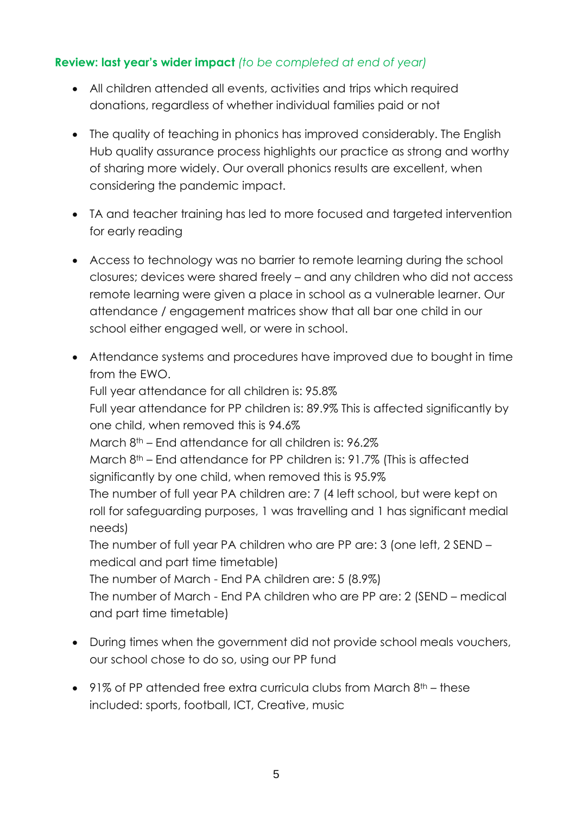### **Review: last year's wider impact** *(to be completed at end of year)*

- All children attended all events, activities and trips which required donations, regardless of whether individual families paid or not
- The quality of teaching in phonics has improved considerably. The English Hub quality assurance process highlights our practice as strong and worthy of sharing more widely. Our overall phonics results are excellent, when considering the pandemic impact.
- TA and teacher training has led to more focused and targeted intervention for early reading
- Access to technology was no barrier to remote learning during the school closures; devices were shared freely – and any children who did not access remote learning were given a place in school as a vulnerable learner. Our attendance / engagement matrices show that all bar one child in our school either engaged well, or were in school.
- Attendance systems and procedures have improved due to bought in time from the EWO. Full year attendance for all children is: 95.8% Full year attendance for PP children is: 89.9% This is affected significantly by one child, when removed this is 94.6% March 8th – End attendance for all children is: 96.2% March 8<sup>th</sup> – End attendance for PP children is: 91.7% (This is affected significantly by one child, when removed this is 95.9% The number of full year PA children are: 7 (4 left school, but were kept on roll for safeguarding purposes, 1 was travelling and 1 has significant medial needs) The number of full year PA children who are PP are: 3 (one left, 2 SEND – medical and part time timetable) The number of March - End PA children are: 5 (8.9%) The number of March - End PA children who are PP are: 2 (SEND – medical and part time timetable)
- During times when the government did not provide school meals vouchers, our school chose to do so, using our PP fund
- $\bullet$  91% of PP attended free extra curricula clubs from March 8<sup>th</sup> these included: sports, football, ICT, Creative, music